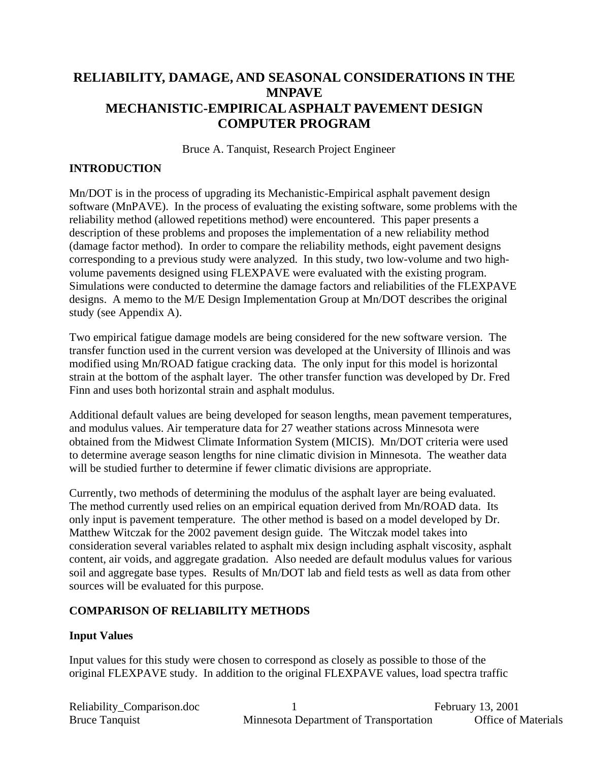# **RELIABILITY, DAMAGE, AND SEASONAL CONSIDERATIONS IN THE MNPAVE MECHANISTIC-EMPIRICALASPHALT PAVEMENT DESIGN COMPUTER PROGRAM**

Bruce A. Tanquist, Research Project Engineer

# **INTRODUCTION**

Mn/DOT is in the process of upgrading its Mechanistic-Empirical asphalt pavement design software (MnPAVE). In the process of evaluating the existing software, some problems with the reliability method (allowed repetitions method) were encountered. This paper presents a description of these problems and proposes the implementation of a new reliability method (damage factor method). In order to compare the reliability methods, eight pavement designs corresponding to a previous study were analyzed. In this study, two low-volume and two highvolume pavements designed using FLEXPAVE were evaluated with the existing program. Simulations were conducted to determine the damage factors and reliabilities of the FLEXPAVE designs. A memo to the M/E Design Implementation Group at Mn/DOT describes the original study (see Appendix A).

Two empirical fatigue damage models are being considered for the new software version. The transfer function used in the current version was developed at the University of Illinois and was modified using Mn/ROAD fatigue cracking data. The only input for this model is horizontal strain at the bottom of the asphalt layer. The other transfer function was developed by Dr. Fred Finn and uses both horizontal strain and asphalt modulus.

Additional default values are being developed for season lengths, mean pavement temperatures, and modulus values. Air temperature data for 27 weather stations across Minnesota were obtained from the Midwest Climate Information System (MICIS). Mn/DOT criteria were used to determine average season lengths for nine climatic division in Minnesota. The weather data will be studied further to determine if fewer climatic divisions are appropriate.

Currently, two methods of determining the modulus of the asphalt layer are being evaluated. The method currently used relies on an empirical equation derived from Mn/ROAD data. Its only input is pavement temperature. The other method is based on a model developed by Dr. Matthew Witczak for the 2002 pavement design guide. The Witczak model takes into consideration several variables related to asphalt mix design including asphalt viscosity, asphalt content, air voids, and aggregate gradation. Also needed are default modulus values for various soil and aggregate base types. Results of Mn/DOT lab and field tests as well as data from other sources will be evaluated for this purpose.

# **COMPARISON OF RELIABILITY METHODS**

## **Input Values**

Input values for this study were chosen to correspond as closely as possible to those of the original FLEXPAVE study. In addition to the original FLEXPAVE values, load spectra traffic

| Reliability_Comparison.doc |                                        | February 13, 2001          |
|----------------------------|----------------------------------------|----------------------------|
| <b>Bruce Tanguist</b>      | Minnesota Department of Transportation | <b>Office of Materials</b> |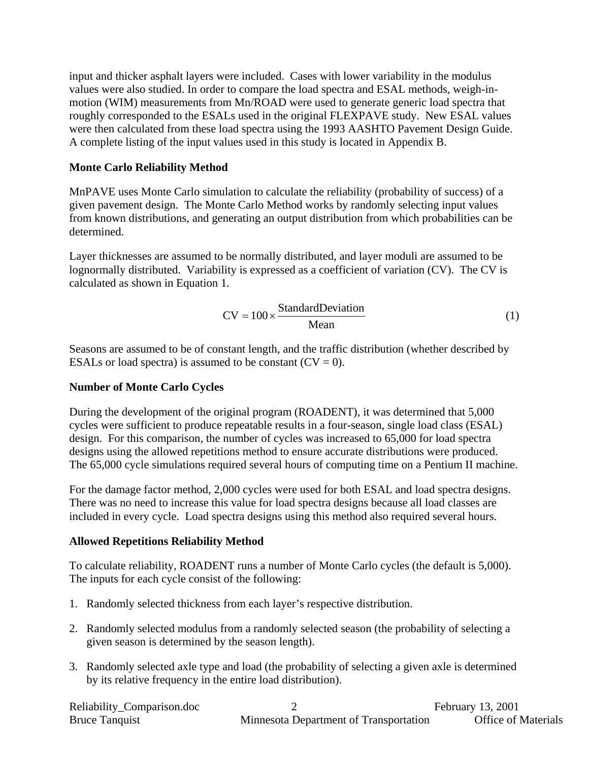input and thicker asphalt layers were included. Cases with lower variability in the modulus values were also studied. In order to compare the load spectra and ESAL methods, weigh-inmotion (WIM) measurements from Mn/ROAD were used to generate generic load spectra that roughly corresponded to the ESALs used in the original FLEXPAVE study. New ESAL values were then calculated from these load spectra using the 1993 AASHTO Pavement Design Guide. A complete listing of the input values used in this study is located in Appendix B.

### **Monte Carlo Reliability Method**

MnPAVE uses Monte Carlo simulation to calculate the reliability (probability of success) of a given pavement design. The Monte Carlo Method works by randomly selecting input values from known distributions, and generating an output distribution from which probabilities can be determined.

Layer thicknesses are assumed to be normally distributed, and layer moduli are assumed to be lognormally distributed. Variability is expressed as a coefficient of variation (CV). The CV is calculated as shown in Equation 1.

$$
CV = 100 \times \frac{\text{StandardDeviation}}{\text{Mean}}
$$
 (1)

Seasons are assumed to be of constant length, and the traffic distribution (whether described by ESALs or load spectra) is assumed to be constant  $(CV = 0)$ .

### **Number of Monte Carlo Cycles**

During the development of the original program (ROADENT), it was determined that 5,000 cycles were sufficient to produce repeatable results in a four-season, single load class (ESAL) design. For this comparison, the number of cycles was increased to 65,000 for load spectra designs using the allowed repetitions method to ensure accurate distributions were produced. The 65,000 cycle simulations required several hours of computing time on a Pentium II machine.

For the damage factor method, 2,000 cycles were used for both ESAL and load spectra designs. There was no need to increase this value for load spectra designs because all load classes are included in every cycle. Load spectra designs using this method also required several hours.

### **Allowed Repetitions Reliability Method**

To calculate reliability, ROADENT runs a number of Monte Carlo cycles (the default is 5,000). The inputs for each cycle consist of the following:

- 1. Randomly selected thickness from each layer's respective distribution.
- 2. Randomly selected modulus from a randomly selected season (the probability of selecting a given season is determined by the season length).
- 3. Randomly selected axle type and load (the probability of selecting a given axle is determined by its relative frequency in the entire load distribution).

| Reliability_Comparison.doc |                                        | February 13, 2001          |
|----------------------------|----------------------------------------|----------------------------|
| <b>Bruce Tanguist</b>      | Minnesota Department of Transportation | <b>Office of Materials</b> |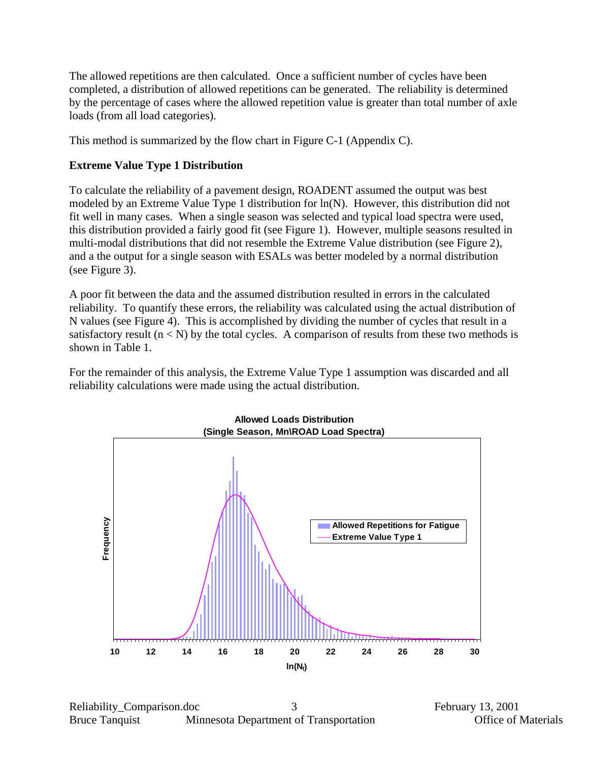The allowed repetitions are then calculated. Once a sufficient number of cycles have been completed, a distribution of allowed repetitions can be generated. The reliability is determined by the percentage of cases where the allowed repetition value is greater than total number of axle loads (from all load categories).

This method is summarized by the flow chart in Figure C-1 (Appendix C).

## **Extreme Value Type 1 Distribution**

To calculate the reliability of a pavement design, ROADENT assumed the output was best modeled by an Extreme Value Type 1 distribution for ln(N). However, this distribution did not fit well in many cases. When a single season was selected and typical load spectra were used, this distribution provided a fairly good fit (see [Figure 1\)](#page-2-0). However, multiple seasons resulted in multi-modal distributions that did not resemble the Extreme Value distribution (see [Figure 2\)](#page-3-0), and a the output for a single season with ESALs was better modeled by a normal distribution (see [Figure 3\)](#page-3-1).

A poor fit between the data and the assumed distribution resulted in errors in the calculated reliability. To quantify these errors, the reliability was calculated using the actual distribution of N values (see [Figure 4\)](#page-4-0). This is accomplished by dividing the number of cycles that result in a satisfactory result  $(n < N)$  by the total cycles. A comparison of results from these two methods is shown in Table 1.

For the remainder of this analysis, the Extreme Value Type 1 assumption was discarded and all reliability calculations were made using the actual distribution.

<span id="page-2-0"></span>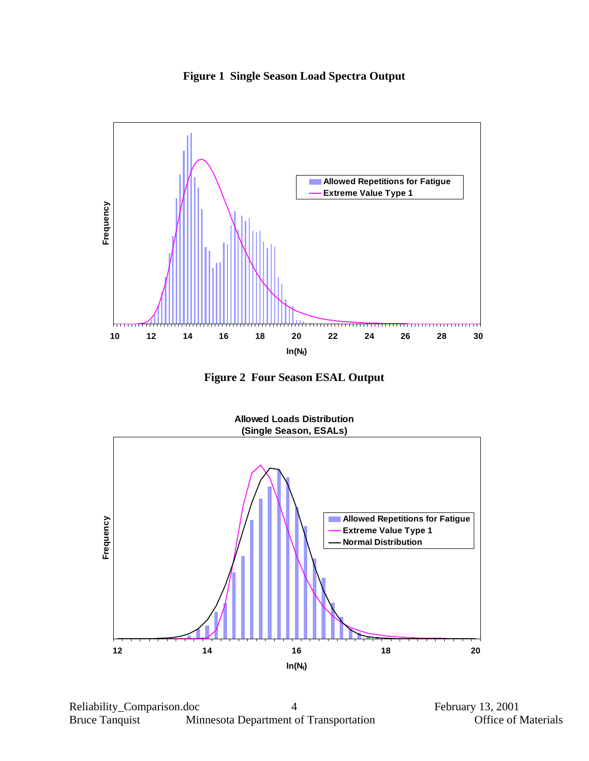<span id="page-3-0"></span>



<span id="page-3-1"></span>**Figure 2 Four Season ESAL Output** 

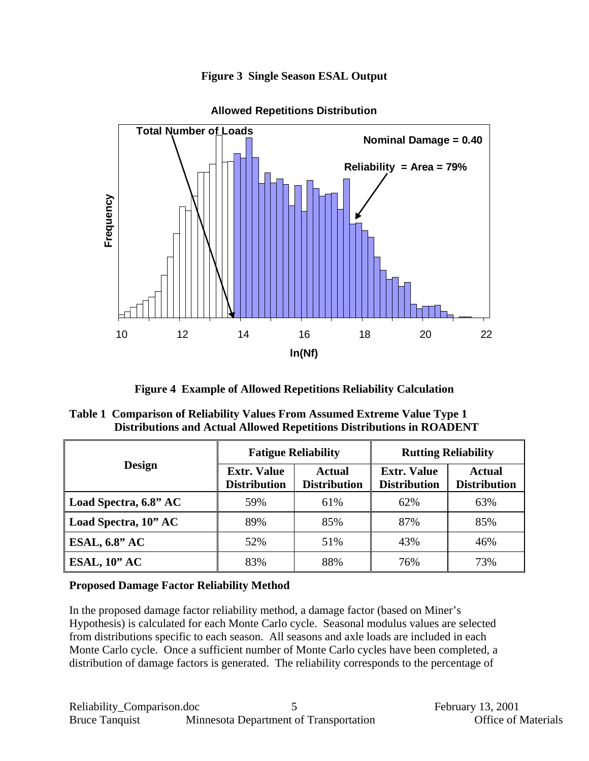

<span id="page-4-0"></span>

**Allowed Repetitions Distribution**

**Figure 4 Example of Allowed Repetitions Reliability Calculation** 

| Table 1 Comparison of Reliability Values From Assumed Extreme Value Type 1   |
|------------------------------------------------------------------------------|
| <b>Distributions and Actual Allowed Repetitions Distributions in ROADENT</b> |

|                       | <b>Fatigue Reliability</b>                |                               | <b>Rutting Reliability</b>                |                                      |  |
|-----------------------|-------------------------------------------|-------------------------------|-------------------------------------------|--------------------------------------|--|
| <b>Design</b>         | <b>Extr. Value</b><br><b>Distribution</b> | Actual<br><b>Distribution</b> | <b>Extr. Value</b><br><b>Distribution</b> | <b>Actual</b><br><b>Distribution</b> |  |
| Load Spectra, 6.8" AC | 59%                                       | 61%                           | 62%                                       | 63%                                  |  |
| Load Spectra, 10" AC  | 89%                                       | 85%                           | 87%                                       | 85%                                  |  |
| <b>ESAL, 6.8" AC</b>  | 52%                                       | 51%                           | 43%                                       | 46%                                  |  |
| ESAL, $10$ " AC       | 83%                                       | 88%                           | 76%                                       | 73%                                  |  |

## **Proposed Damage Factor Reliability Method**

In the proposed damage factor reliability method, a damage factor (based on Miner's Hypothesis) is calculated for each Monte Carlo cycle. Seasonal modulus values are selected from distributions specific to each season. All seasons and axle loads are included in each Monte Carlo cycle. Once a sufficient number of Monte Carlo cycles have been completed, a distribution of damage factors is generated. The reliability corresponds to the percentage of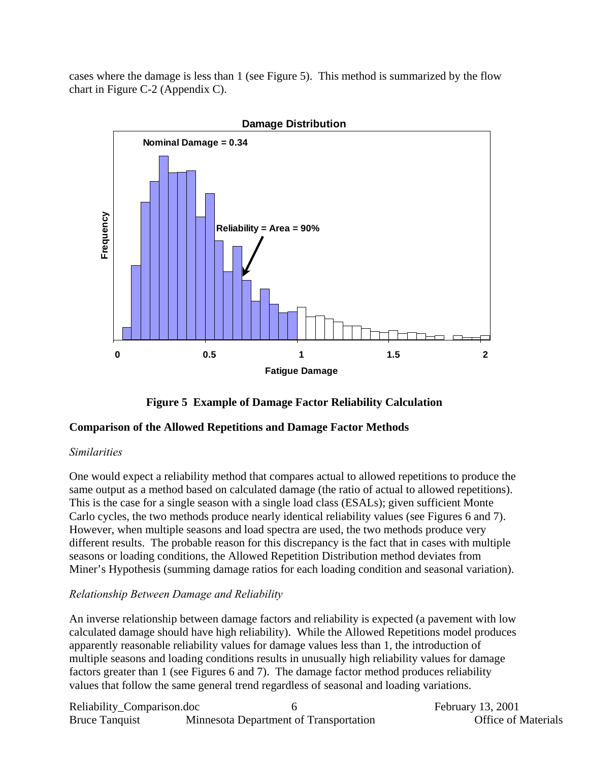cases where the damage is less than 1 (see [Figure 5\)](#page-5-0). This method is summarized by the flow chart in Figure C-2 (Appendix C).

<span id="page-5-0"></span>



### **Comparison of the Allowed Repetitions and Damage Factor Methods**

### *Similarities*

One would expect a reliability method that compares actual to allowed repetitions to produce the same output as a method based on calculated damage (the ratio of actual to allowed repetitions). This is the case for a single season with a single load class (ESALs); given sufficient Monte Carlo cycles, the two methods produce nearly identical reliability values (see Figures 6 and 7). However, when multiple seasons and load spectra are used, the two methods produce very different results. The probable reason for this discrepancy is the fact that in cases with multiple seasons or loading conditions, the Allowed Repetition Distribution method deviates from Miner's Hypothesis (summing damage ratios for each loading condition and seasonal variation).

## *Relationship Between Damage and Reliability*

An inverse relationship between damage factors and reliability is expected (a pavement with low calculated damage should have high reliability). While the Allowed Repetitions model produces apparently reasonable reliability values for damage values less than 1, the introduction of multiple seasons and loading conditions results in unusually high reliability values for damage factors greater than 1 (see Figures 6 and 7). The damage factor method produces reliability values that follow the same general trend regardless of seasonal and loading variations.

| Reliability_Comparison.doc |                                        |  |
|----------------------------|----------------------------------------|--|
| <b>Bruce Tanquist</b>      | Minnesota Department of Transportation |  |

February 13, 2001 n and **Office of Materials**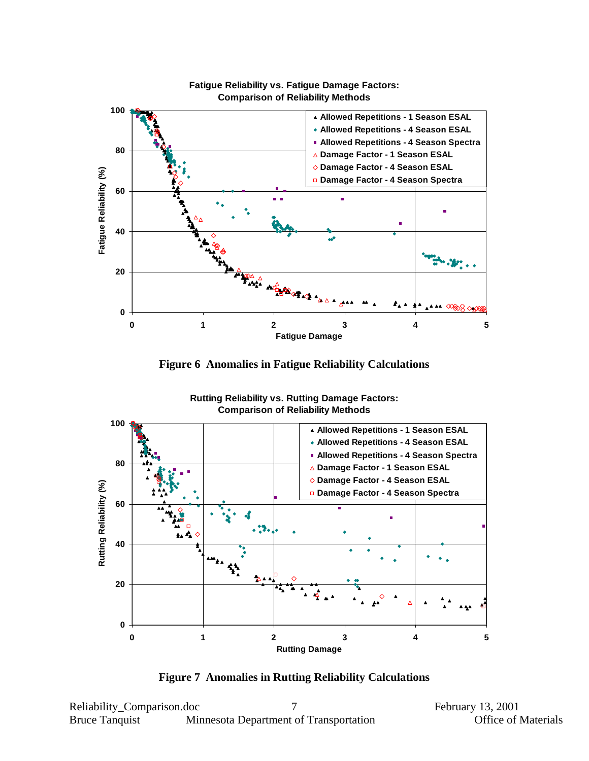





**Rutting Reliability vs. Rutting Damage Factors: Comparison of Reliability Methods**

**Figure 7 Anomalies in Rutting Reliability Calculations**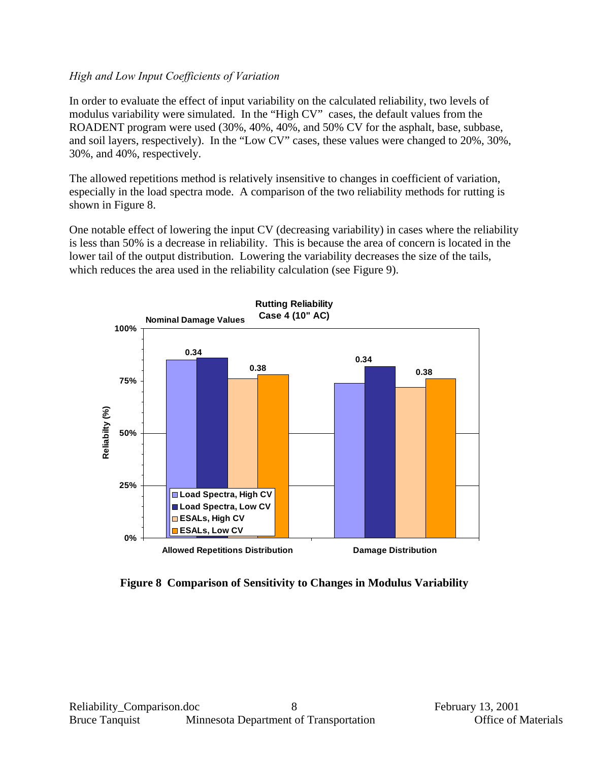## *High and Low Input Coefficients of Variation*

In order to evaluate the effect of input variability on the calculated reliability, two levels of modulus variability were simulated. In the "High CV" cases, the default values from the ROADENT program were used (30%, 40%, 40%, and 50% CV for the asphalt, base, subbase, and soil layers, respectively). In the "Low CV" cases, these values were changed to 20%, 30%, 30%, and 40%, respectively.

The allowed repetitions method is relatively insensitive to changes in coefficient of variation, especially in the load spectra mode. A comparison of the two reliability methods for rutting is shown in [Figure 8.](#page-7-0)

One notable effect of lowering the input CV (decreasing variability) in cases where the reliability is less than 50% is a decrease in reliability. This is because the area of concern is located in the lower tail of the output distribution. Lowering the variability decreases the size of the tails, which reduces the area used in the reliability calculation (see [Figure 9\)](#page-8-0).

<span id="page-7-0"></span>

**Figure 8 Comparison of Sensitivity to Changes in Modulus Variability**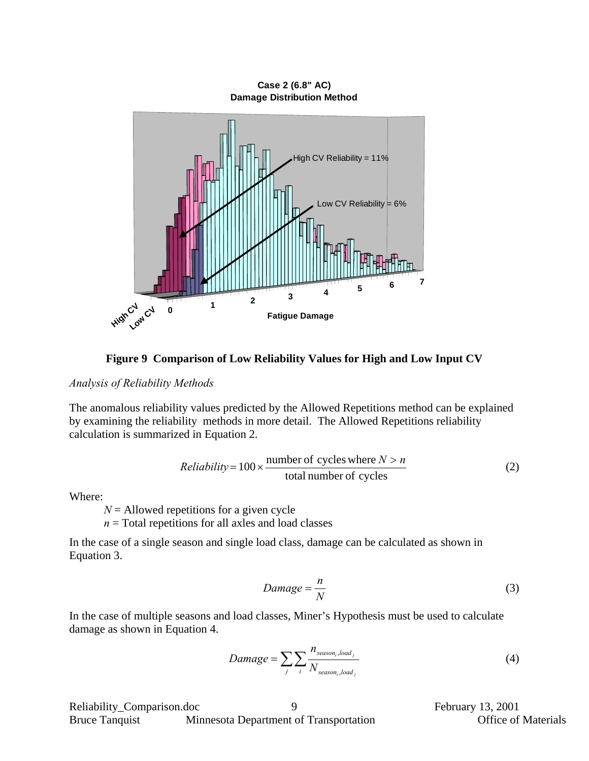**Case 2 (6.8" AC) Damage Distribution Method**

<span id="page-8-0"></span>

**Figure 9 Comparison of Low Reliability Values for High and Low Input CV** 

#### *Analysis of Reliability Methods*

The anomalous reliability values predicted by the Allowed Repetitions method can be explained by examining the reliability methods in more detail. The Allowed Repetitions reliability calculation is summarized in Equation 2.

*Reliability* = 
$$
100 \times \frac{\text{number of cycles where } N > n}{\text{total number of cycles}}
$$
 (2)

Where:

*N* = Allowed repetitions for a given cycle

 $n =$ Total repetitions for all axles and load classes

In the case of a single season and single load class, damage can be calculated as shown in Equation 3.

$$
Damage = \frac{n}{N} \tag{3}
$$

In the case of multiple seasons and load classes, Miner's Hypothesis must be used to calculate damage as shown in Equation 4.

$$
Damage = \sum_{j} \sum_{i} \frac{n_{season_i, load_j}}{N_{season_i, load_j}}
$$
(4)

9

February 13, 2001 **Office of Materials**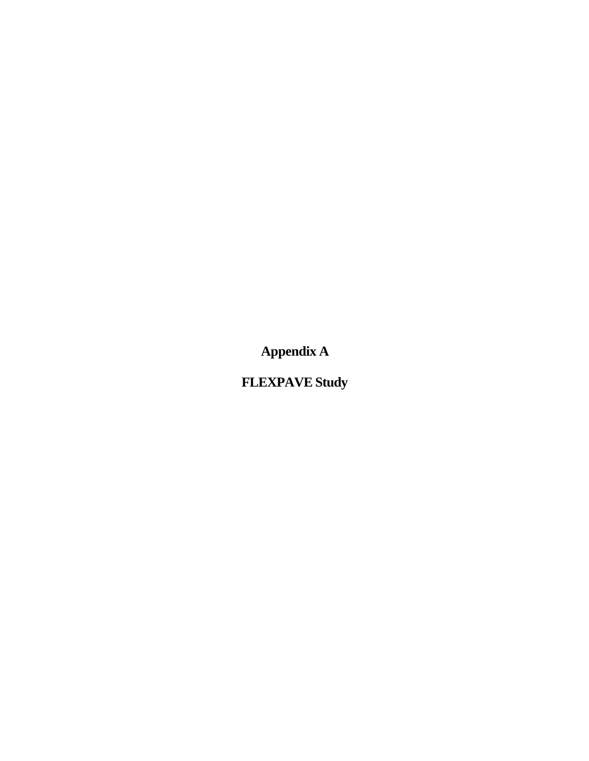**Appendix A**

**FLEXPAVE Study**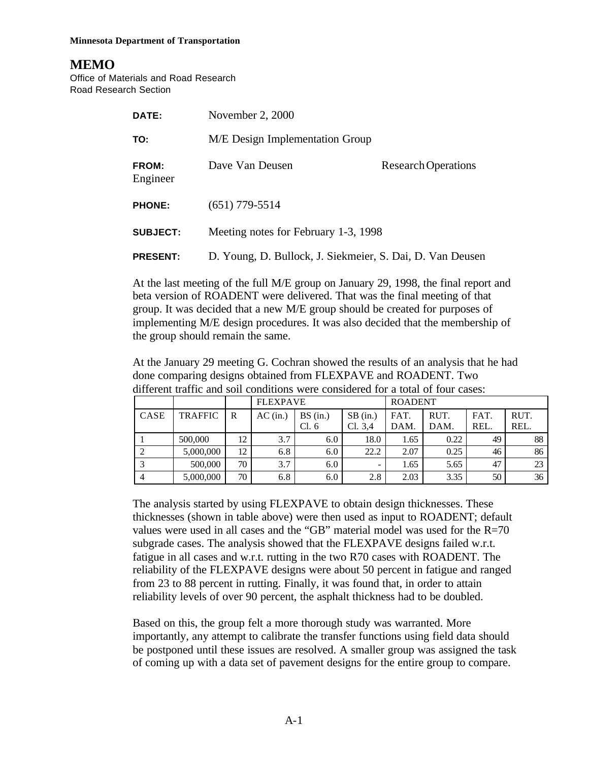#### **Minnesota Department of Transportation**

# **MEMO**

Office of Materials and Road Research Road Research Section

| DATE:                    | November 2, 2000                                          |                            |
|--------------------------|-----------------------------------------------------------|----------------------------|
| TO:                      | M/E Design Implementation Group                           |                            |
| <b>FROM:</b><br>Engineer | Dave Van Deusen                                           | <b>Research Operations</b> |
| <b>PHONE:</b>            | $(651)$ 779-5514                                          |                            |
| <b>SUBJECT:</b>          | Meeting notes for February 1-3, 1998                      |                            |
| <b>PRESENT:</b>          | D. Young, D. Bullock, J. Siekmeier, S. Dai, D. Van Deusen |                            |

At the last meeting of the full M/E group on January 29, 1998, the final report and beta version of ROADENT were delivered. That was the final meeting of that group. It was decided that a new M/E group should be created for purposes of implementing M/E design procedures. It was also decided that the membership of the group should remain the same.

At the January 29 meeting G. Cochran showed the results of an analysis that he had done comparing designs obtained from FLEXPAVE and ROADENT. Two different traffic and soil conditions were considered for a total of four cases:

|             |                |              | <b>FLEXPAVE</b> |                 |                       | <b>ROADENT</b> |              |              |              |
|-------------|----------------|--------------|-----------------|-----------------|-----------------------|----------------|--------------|--------------|--------------|
| <b>CASE</b> | <b>TRAFFIC</b> | $\mathbb{R}$ | $AC$ (in.)      | BS(in.)<br>Cl.6 | $SB$ (in.)<br>Cl. 3,4 | FAT.<br>DAM.   | RUT.<br>DAM. | FAT.<br>REL. | RUT.<br>REL. |
|             | 500,000        | 12           | 3.7             | 6.0             | 18.0                  | 1.65           | 0.22         | 49           | 88           |
|             | 5,000,000      | 12           | 6.8             | 6.0             | 22.2                  | 2.07           | 0.25         | 46           | 86           |
|             | 500,000        | 70           | 3.7             | 6.0             |                       | 1.65           | 5.65         | 47           | 23           |
| 4           | 5,000,000      | 70           | 6.8             | 6.0             | 2.8                   | 2.03           | 3.35         | 50           | 36           |

The analysis started by using FLEXPAVE to obtain design thicknesses. These thicknesses (shown in table above) were then used as input to ROADENT; default values were used in all cases and the "GB" material model was used for the  $R=70$ subgrade cases. The analysis showed that the FLEXPAVE designs failed w.r.t. fatigue in all cases and w.r.t. rutting in the two R70 cases with ROADENT. The reliability of the FLEXPAVE designs were about 50 percent in fatigue and ranged from 23 to 88 percent in rutting. Finally, it was found that, in order to attain reliability levels of over 90 percent, the asphalt thickness had to be doubled.

Based on this, the group felt a more thorough study was warranted. More importantly, any attempt to calibrate the transfer functions using field data should be postponed until these issues are resolved. A smaller group was assigned the task of coming up with a data set of pavement designs for the entire group to compare.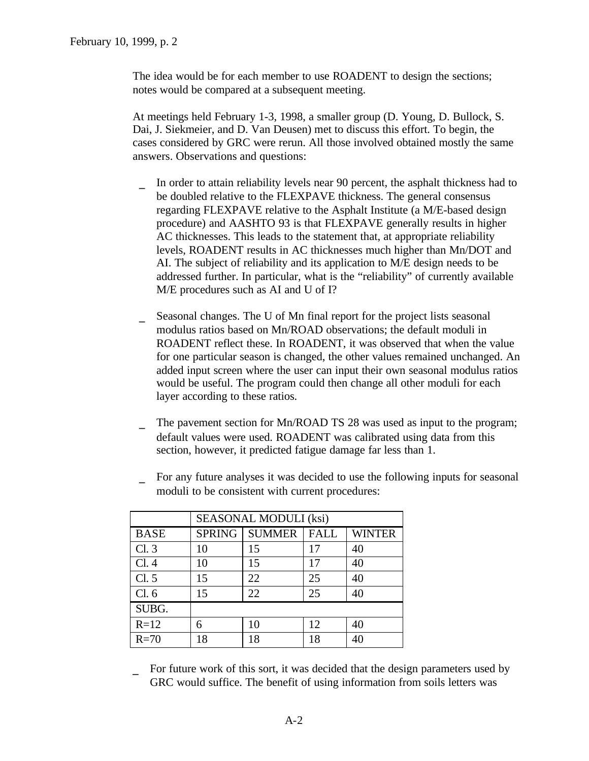The idea would be for each member to use ROADENT to design the sections; notes would be compared at a subsequent meeting.

At meetings held February 1-3, 1998, a smaller group (D. Young, D. Bullock, S. Dai, J. Siekmeier, and D. Van Deusen) met to discuss this effort. To begin, the cases considered by GRC were rerun. All those involved obtained mostly the same answers. Observations and questions:

- In order to attain reliability levels near 90 percent, the asphalt thickness had to be doubled relative to the FLEXPAVE thickness. The general consensus regarding FLEXPAVE relative to the Asphalt Institute (a M/E-based design procedure) and AASHTO 93 is that FLEXPAVE generally results in higher AC thicknesses. This leads to the statement that, at appropriate reliability levels, ROADENT results in AC thicknesses much higher than Mn/DOT and AI. The subject of reliability and its application to M/E design needs to be addressed further. In particular, what is the "reliability" of currently available M/E procedures such as AI and U of I?
- Seasonal changes. The U of Mn final report for the project lists seasonal modulus ratios based on Mn/ROAD observations; the default moduli in ROADENT reflect these. In ROADENT, it was observed that when the value for one particular season is changed, the other values remained unchanged. An added input screen where the user can input their own seasonal modulus ratios would be useful. The program could then change all other moduli for each layer according to these ratios.
- The pavement section for Mn/ROAD TS 28 was used as input to the program; default values were used. ROADENT was calibrated using data from this section, however, it predicted fatigue damage far less than 1.
- For any future analyses it was decided to use the following inputs for seasonal moduli to be consistent with current procedures:

|             | <b>SEASONAL MODULI (ksi)</b> |                        |             |               |  |  |
|-------------|------------------------------|------------------------|-------------|---------------|--|--|
| <b>BASE</b> |                              | <b>SPRING   SUMMER</b> | <b>FALL</b> | <b>WINTER</b> |  |  |
| Cl.3        | 10                           | 15                     | 17          | 40            |  |  |
| Cl.4        | 10                           | 15                     | 17          | 40            |  |  |
| Cl. 5       | 15                           | 22                     | 25          | 40            |  |  |
| Cl.6        | 15                           | 22                     | 25          | 40            |  |  |
| SUBG.       |                              |                        |             |               |  |  |
| $R=12$      |                              | 10                     | 12          | 40            |  |  |
| $R=70$      | 18                           | 18                     | 18          | 40            |  |  |

For future work of this sort, it was decided that the design parameters used by GRC would suffice. The benefit of using information from soils letters was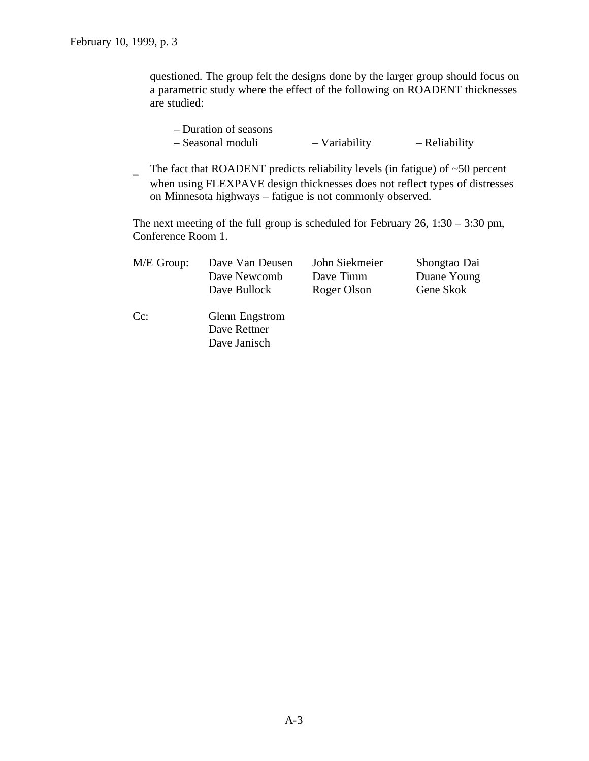questioned. The group felt the designs done by the larger group should focus on a parametric study where the effect of the following on ROADENT thicknesses are studied:

| - Duration of seasons |               |               |
|-----------------------|---------------|---------------|
| - Seasonal moduli     | - Variability | - Reliability |

The fact that ROADENT predicts reliability levels (in fatigue) of  $~50$  percent when using FLEXPAVE design thicknesses does not reflect types of distresses on Minnesota highways – fatigue is not commonly observed.

The next meeting of the full group is scheduled for February 26, 1:30 – 3:30 pm, Conference Room 1.

| $M/E$ Group: | Dave Van Deusen | John Siekmeier | Shongtao Dai |
|--------------|-----------------|----------------|--------------|
|              | Dave Newcomb    | Dave Timm      | Duane Young  |
|              | Dave Bullock    | Roger Olson    | Gene Skok    |
| $Cc$ :       | Glenn Engstrom  |                |              |
|              | Dave Rettner    |                |              |
|              | Dave Janisch    |                |              |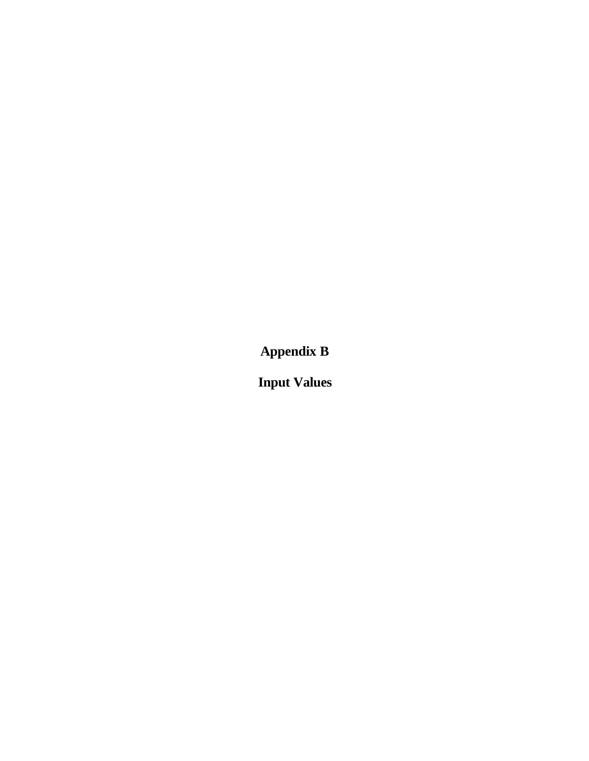**Appendix B**

**Input Values**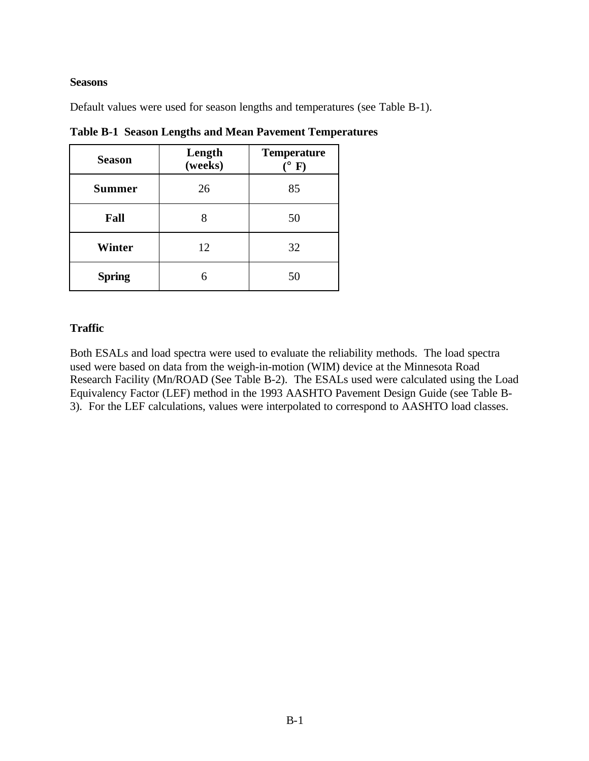#### **Seasons**

Default values were used for season lengths and temperatures (see Table B-1).

| <b>Season</b> | Length<br>(weeks) | <b>Temperature</b><br>$\mathbf{F}$ |
|---------------|-------------------|------------------------------------|
| <b>Summer</b> | 26                | 85                                 |
| Fall          |                   | 50                                 |
| Winter        | 12                | 32                                 |
| <b>Spring</b> |                   | 50                                 |

**Table B-1 Season Lengths and Mean Pavement Temperatures**

## **Traffic**

Both ESALs and load spectra were used to evaluate the reliability methods. The load spectra used were based on data from the weigh-in-motion (WIM) device at the Minnesota Road Research Facility (Mn/ROAD (See Table B-2). The ESALs used were calculated using the Load Equivalency Factor (LEF) method in the 1993 AASHTO Pavement Design Guide (see Table B-3). For the LEF calculations, values were interpolated to correspond to AASHTO load classes.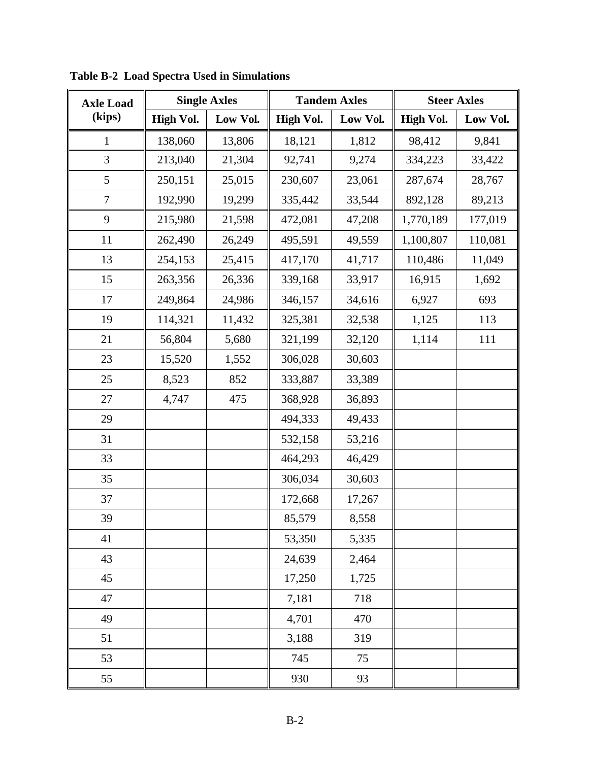| <b>Axle Load</b> | <b>Single Axles</b> |          | <b>Tandem Axles</b> |          |                  | <b>Steer Axles</b> |
|------------------|---------------------|----------|---------------------|----------|------------------|--------------------|
| (kips)           | <b>High Vol.</b>    | Low Vol. | <b>High Vol.</b>    | Low Vol. | <b>High Vol.</b> | Low Vol.           |
| $\mathbf{1}$     | 138,060             | 13,806   | 18,121              | 1,812    | 98,412           | 9,841              |
| 3                | 213,040             | 21,304   | 92,741              | 9,274    | 334,223          | 33,422             |
| 5                | 250,151             | 25,015   | 230,607             | 23,061   | 287,674          | 28,767             |
| $\boldsymbol{7}$ | 192,990             | 19,299   | 335,442             | 33,544   | 892,128          | 89,213             |
| 9                | 215,980             | 21,598   | 472,081             | 47,208   | 1,770,189        | 177,019            |
| 11               | 262,490             | 26,249   | 495,591             | 49,559   | 1,100,807        | 110,081            |
| 13               | 254,153             | 25,415   | 417,170             | 41,717   | 110,486          | 11,049             |
| 15               | 263,356             | 26,336   | 339,168             | 33,917   | 16,915           | 1,692              |
| 17               | 249,864             | 24,986   | 346,157             | 34,616   | 6,927            | 693                |
| 19               | 114,321             | 11,432   | 325,381             | 32,538   | 1,125            | 113                |
| 21               | 56,804              | 5,680    | 321,199             | 32,120   | 1,114            | 111                |
| 23               | 15,520              | 1,552    | 306,028             | 30,603   |                  |                    |
| 25               | 8,523               | 852      | 333,887             | 33,389   |                  |                    |
| 27               | 4,747               | 475      | 368,928             | 36,893   |                  |                    |
| 29               |                     |          | 494,333             | 49,433   |                  |                    |
| 31               |                     |          | 532,158             | 53,216   |                  |                    |
| 33               |                     |          | 464,293             | 46,429   |                  |                    |
| 35               |                     |          | 306,034             | 30,603   |                  |                    |
| 37               |                     |          | 172,668             | 17,267   |                  |                    |
| 39               |                     |          | 85,579              | 8,558    |                  |                    |
| 41               |                     |          | 53,350              | 5,335    |                  |                    |
| 43               |                     |          | 24,639              | 2,464    |                  |                    |
| 45               |                     |          | 17,250              | 1,725    |                  |                    |
| 47               |                     |          | 7,181               | 718      |                  |                    |
| 49               |                     |          | 4,701               | 470      |                  |                    |
| 51               |                     |          | 3,188               | 319      |                  |                    |
| 53               |                     |          | 745                 | 75       |                  |                    |
| 55               |                     |          | 930                 | 93       |                  |                    |

**Table B-2 Load Spectra Used in Simulations**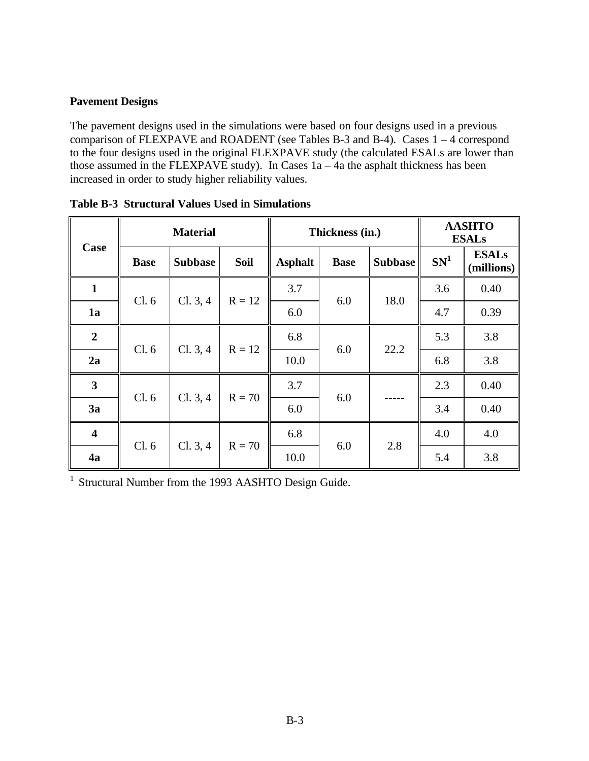### **Pavement Designs**

The pavement designs used in the simulations were based on four designs used in a previous comparison of FLEXPAVE and ROADENT (see Tables B-3 and B-4). Cases  $1 - 4$  correspond to the four designs used in the original FLEXPAVE study (the calculated ESALs are lower than those assumed in the FLEXPAVE study). In Cases 1a – 4a the asphalt thickness has been increased in order to study higher reliability values.

| Case                    | <b>Material</b> |                |             | Thickness (in.) |             |                | <b>AASHTO</b><br><b>ESALs</b> |                            |
|-------------------------|-----------------|----------------|-------------|-----------------|-------------|----------------|-------------------------------|----------------------------|
|                         | <b>Base</b>     | <b>Subbase</b> | <b>Soil</b> | <b>Asphalt</b>  | <b>Base</b> | <b>Subbase</b> | SN <sup>1</sup>               | <b>ESALs</b><br>(millions) |
| $\mathbf{1}$            | Cl.6            | Cl. 3, 4       | $R = 12$    | 3.7             | 6.0         | 18.0           | 3.6                           | 0.40                       |
| 1a                      |                 |                |             | 6.0             |             |                | 4.7                           | 0.39                       |
| $\boldsymbol{2}$        | Cl.6            | Cl. 3, 4       | $R = 12$    | 6.8             | 6.0         | 22.2           | 5.3                           | 3.8                        |
| 2a                      |                 |                |             | 10.0            |             |                | 6.8                           | 3.8                        |
| $\overline{\mathbf{3}}$ | Cl. 6           | Cl. 3, 4       | $R = 70$    | 3.7             | 6.0         |                | 2.3                           | 0.40                       |
| 3a                      |                 |                |             | 6.0             |             |                | 3.4                           | 0.40                       |
| $\overline{\mathbf{4}}$ | Cl. 6           | Cl. 3, 4       | $R = 70$    | 6.8             | 6.0         | 2.8            | 4.0                           | 4.0                        |
| 4a                      |                 |                |             | 10.0            |             |                | 5.4                           | 3.8                        |

|  | <b>Table B-3 Structural Values Used in Simulations</b> |  |  |  |  |
|--|--------------------------------------------------------|--|--|--|--|
|--|--------------------------------------------------------|--|--|--|--|

<sup>1</sup> Structural Number from the 1993 AASHTO Design Guide.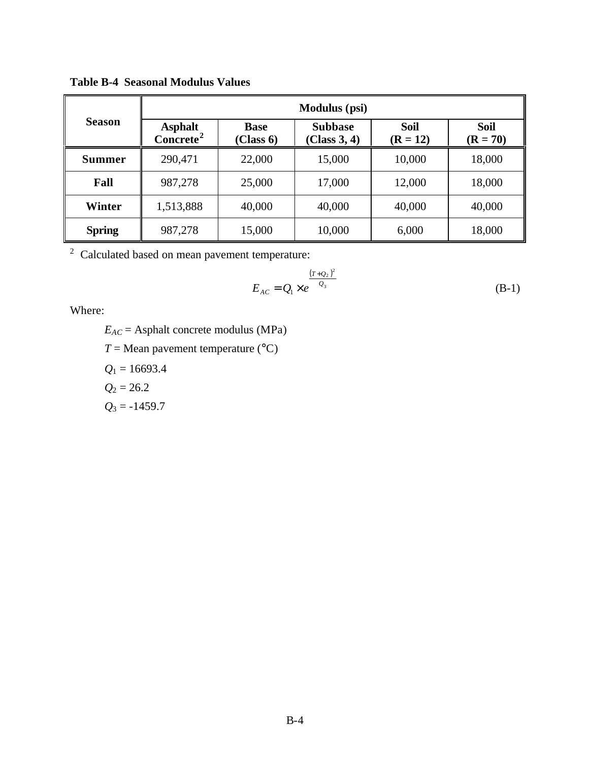|               | <b>Modulus</b> (psi)                    |                          |                                |                           |                           |  |  |  |
|---------------|-----------------------------------------|--------------------------|--------------------------------|---------------------------|---------------------------|--|--|--|
| <b>Season</b> | <b>Asphalt</b><br>Concrete <sup>2</sup> | <b>Base</b><br>(Class 6) | <b>Subbase</b><br>(Class 3, 4) | <b>Soil</b><br>$(R = 12)$ | <b>Soil</b><br>$(R = 70)$ |  |  |  |
| Summer        | 290,471                                 | 22,000                   | 15,000                         | 10,000                    | 18,000                    |  |  |  |
| Fall          | 987,278                                 | 25,000                   | 17,000                         | 12,000                    | 18,000                    |  |  |  |
| Winter        | 1,513,888                               | 40,000                   | 40,000                         | 40,000                    | 40,000                    |  |  |  |
| <b>Spring</b> | 987,278                                 | 15,000                   | 10,000                         | 6,000                     | 18,000                    |  |  |  |

**Table B-4 Seasonal Modulus Values**

 $2^2$  Calculated based on mean pavement temperature:

$$
E_{AC} = Q_1 \times e^{\frac{(T + Q_2)^2}{Q_3}}
$$
 (B-1)

Where:

 $E_{AC}$  = Asphalt concrete modulus (MPa)  $T =$ Mean pavement temperature ( $^{\circ}$ C) *Q*1 = 16693.4  $Q_2 = 26.2$  $Q_3 = -1459.7$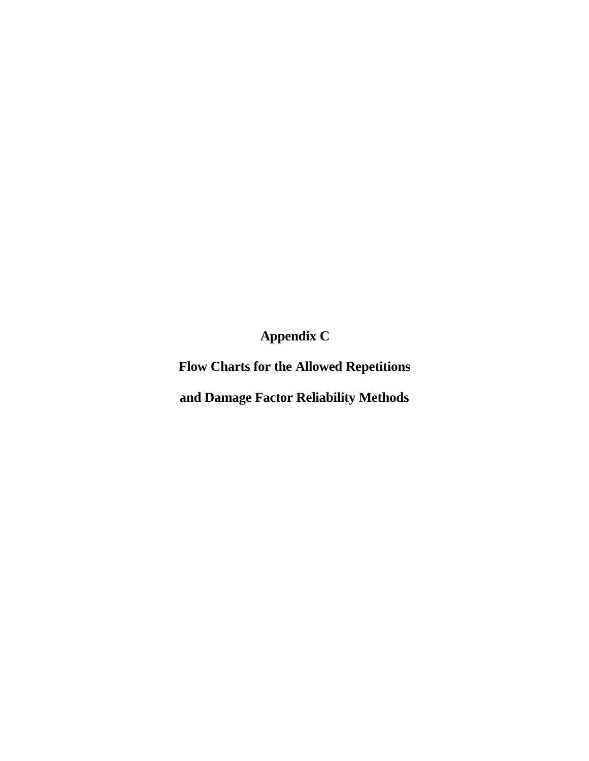**Appendix C**

**Flow Charts for the Allowed Repetitions**

**and Damage Factor Reliability Methods**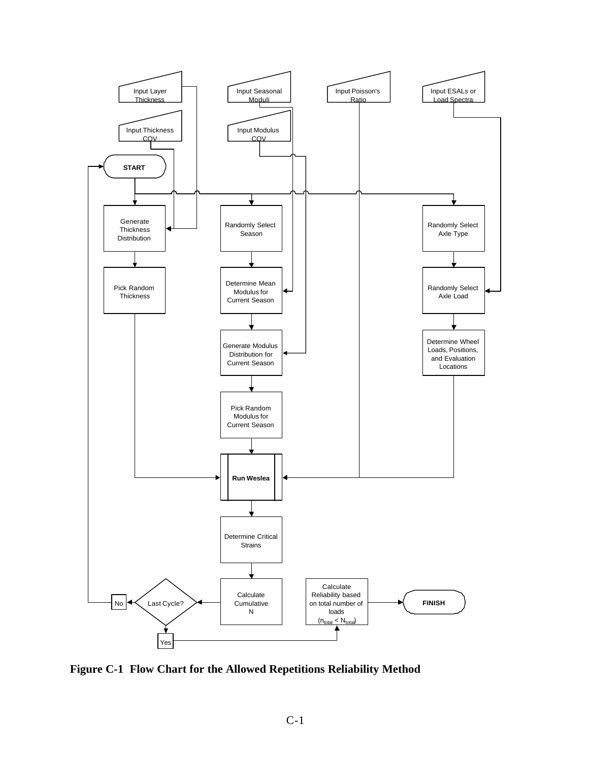

**Figure C-1 Flow Chart for the Allowed Repetitions Reliability Method**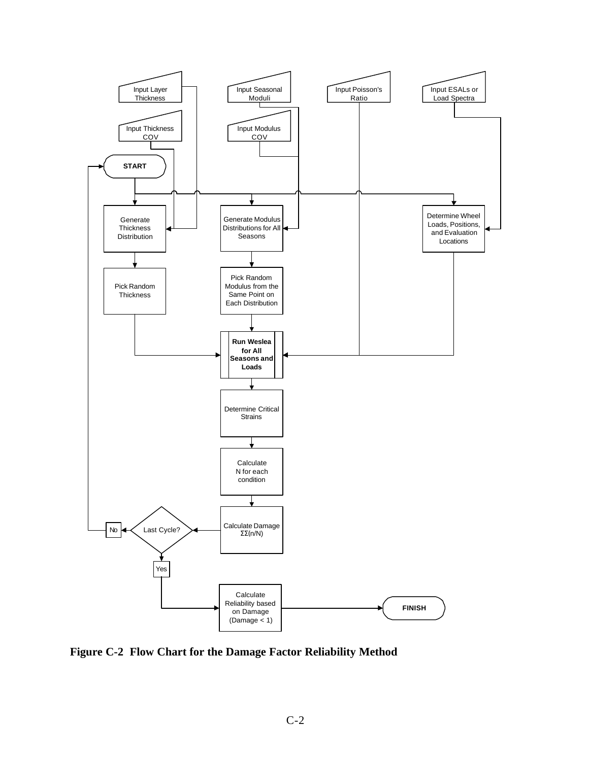

**Figure C-2 Flow Chart for the Damage Factor Reliability Method**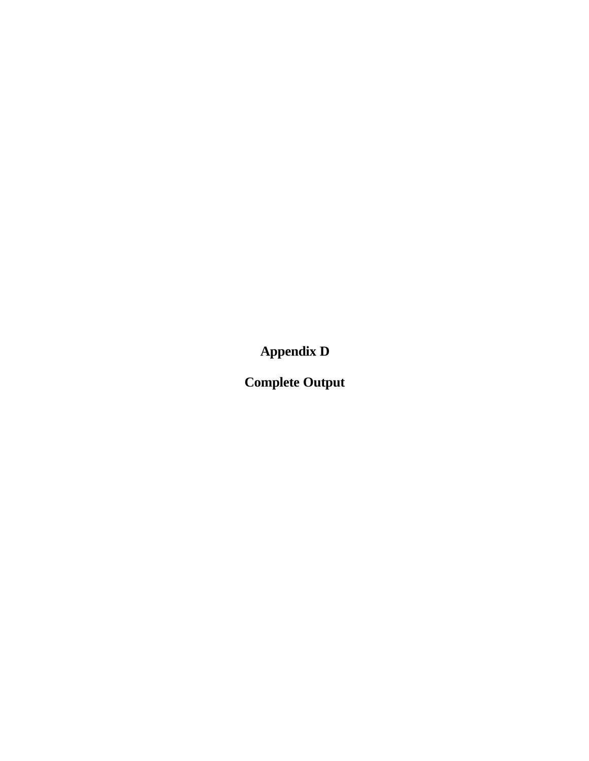**Appendix D**

**Complete Output**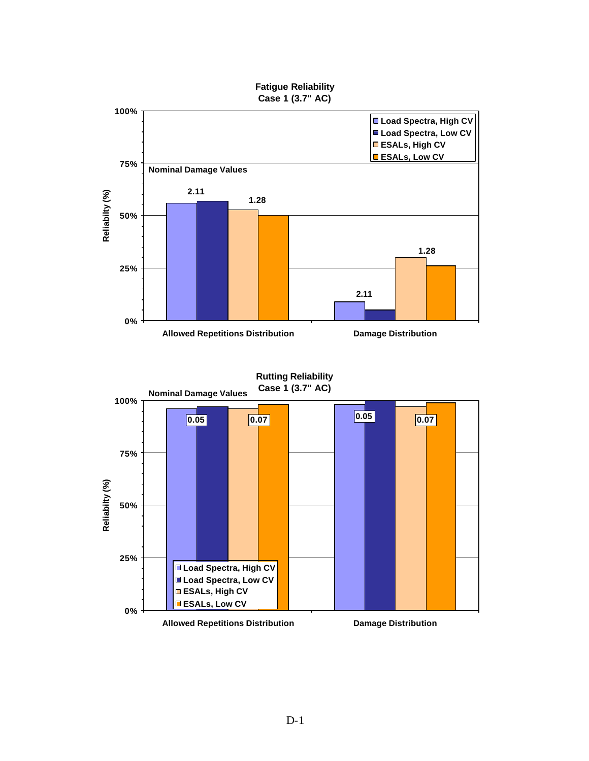

**Rutting Reliability Case 1 (3.7" AC)**

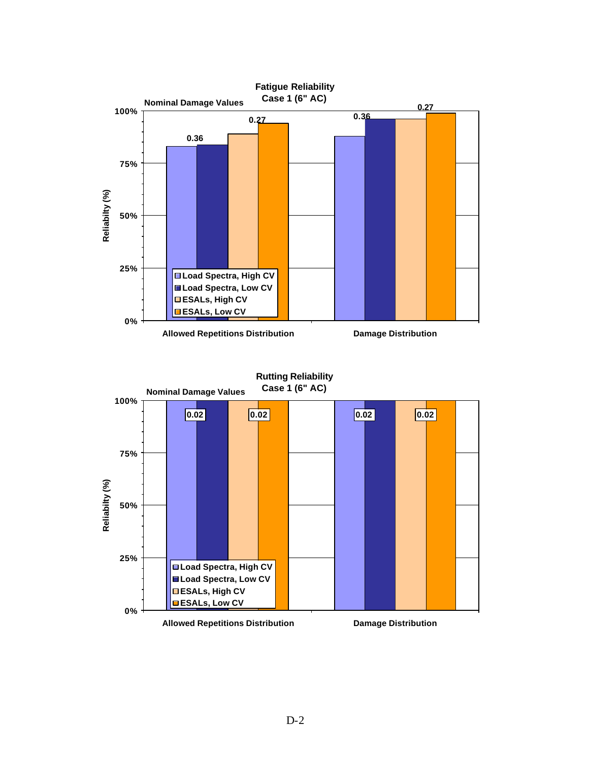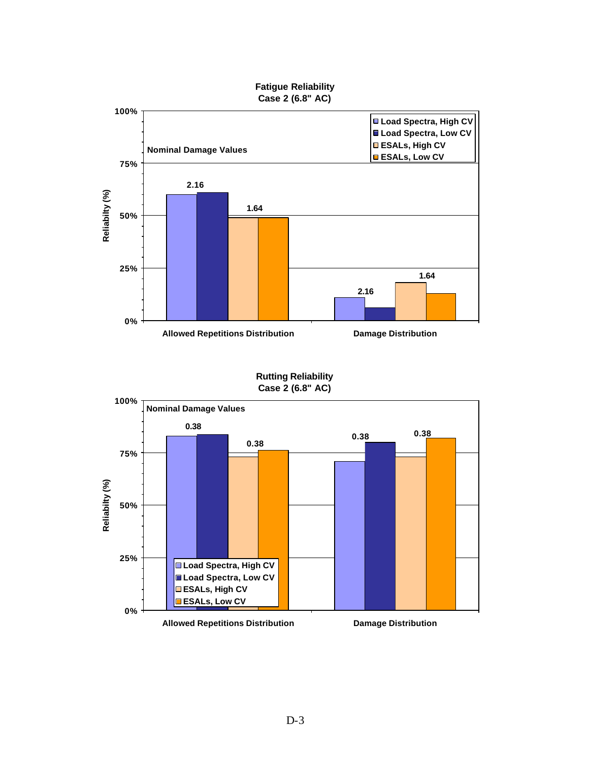

**Rutting Reliability Case 2 (6.8" AC)**

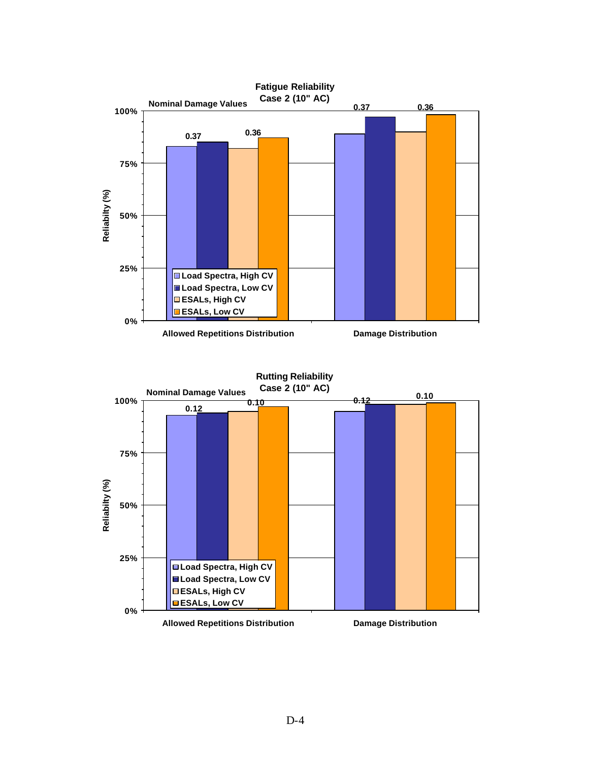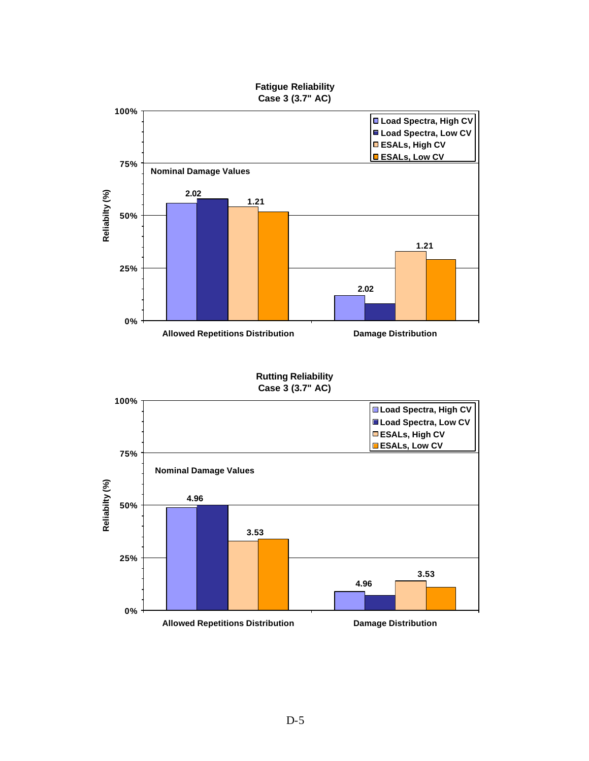



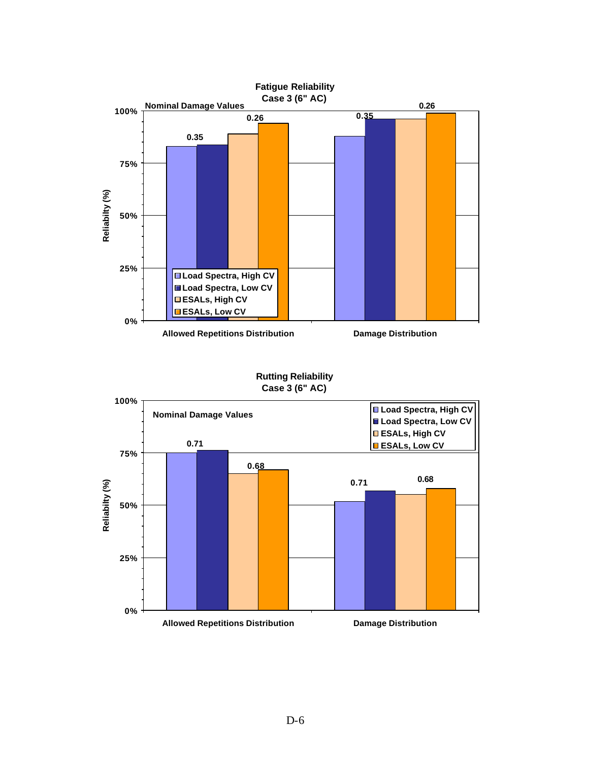

**Rutting Reliability Case 3 (6" AC)**

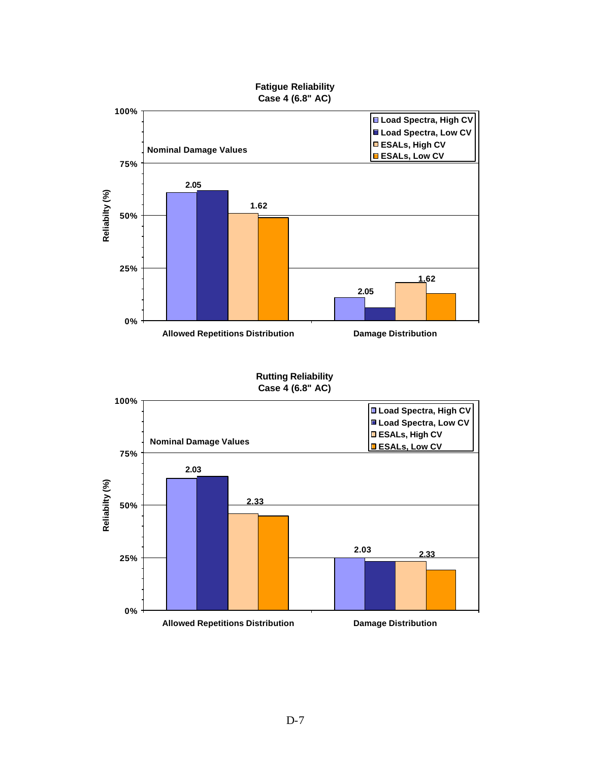

#### **Rutting Reliability Case 4 (6.8" AC)**